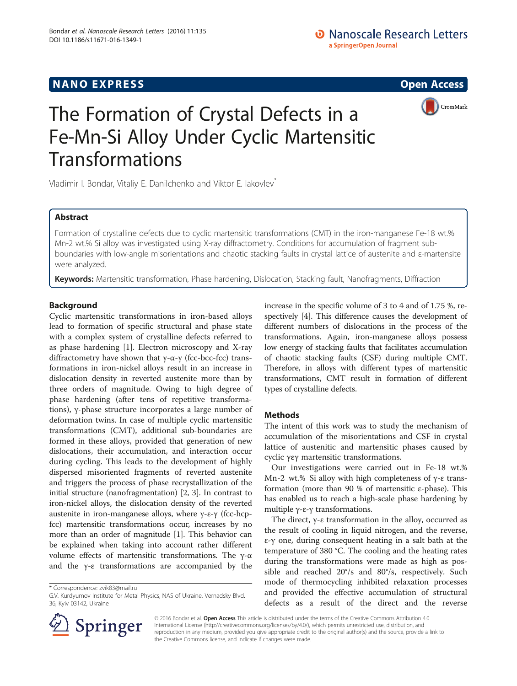# NANO EXPRESS CONTROL CONTROL CONTROL CONTROL CONTROL CONTROL CONTROL CONTROL CONTROL CONTROL CONTROL CONTROL CO





# The Formation of Crystal Defects in a Fe-Mn-Si Alloy Under Cyclic Martensitic Transformations

Vladimir I. Bondar, Vitaliy E. Danilchenko and Viktor E. lakovlev<sup>\*</sup>

# Abstract

Formation of crystalline defects due to cyclic martensitic transformations (CMT) in the iron-manganese Fe-18 wt.% Mn-2 wt.% Si alloy was investigated using X-ray diffractometry. Conditions for accumulation of fragment subboundaries with low-angle misorientations and chaotic stacking faults in crystal lattice of austenite and ε-martensite were analyzed.

Keywords: Martensitic transformation, Phase hardening, Dislocation, Stacking fault, Nanofragments, Diffraction

# Background

Cyclic martensitic transformations in iron-based alloys lead to formation of specific structural and phase state with a complex system of crystalline defects referred to as phase hardening [[1\]](#page-3-0). Electron microscopy and X-ray diffractometry have shown that γ-α-γ (fcc-bcc-fcc) transformations in iron-nickel alloys result in an increase in dislocation density in reverted austenite more than by three orders of magnitude. Owing to high degree of phase hardening (after tens of repetitive transformations), γ-phase structure incorporates a large number of deformation twins. In case of multiple cyclic martensitic transformations (CMT), additional sub-boundaries are formed in these alloys, provided that generation of new dislocations, their accumulation, and interaction occur during cycling. This leads to the development of highly dispersed misoriented fragments of reverted austenite and triggers the process of phase recrystallization of the initial structure (nanofragmentation) [\[2, 3](#page-3-0)]. In contrast to iron-nickel alloys, the dislocation density of the reverted austenite in iron-manganese alloys, where  $γ$ -ε-γ (fcc-hcpfcc) martensitic transformations occur, increases by no more than an order of magnitude [\[1](#page-3-0)]. This behavior can be explained when taking into account rather different volume effects of martensitic transformations. The γ-α and the  $\gamma$ -ε transformations are accompanied by the

\* Correspondence: [zvik83@mail.ru](mailto:zvik83@mail.ru)



# **Methods**

The intent of this work was to study the mechanism of accumulation of the misorientations and CSF in crystal lattice of austenitic and martensitic phases caused by cyclic γεγ martensitic transformations.

Our investigations were carried out in Fe-18 wt.% Mn-2 wt.% Si alloy with high completeness of  $γ$ -ε transformation (more than 90 % of martensitic ε-phase). This has enabled us to reach a high-scale phase hardening by multiple γ-ε-γ transformations.

The direct, γ-ε transformation in the alloy, occurred as the result of cooling in liquid nitrogen, and the reverse, ε-γ one, during consequent heating in a salt bath at the temperature of 380 °C. The cooling and the heating rates during the transformations were made as high as possible and reached 20°/s and 80°/s, respectively. Such mode of thermocycling inhibited relaxation processes and provided the effective accumulation of structural defects as a result of the direct and the reverse



© 2016 Bondar et al. Open Access This article is distributed under the terms of the Creative Commons Attribution 4.0 International License ([http://creativecommons.org/licenses/by/4.0/\)](http://creativecommons.org/licenses/by/4.0/), which permits unrestricted use, distribution, and reproduction in any medium, provided you give appropriate credit to the original author(s) and the source, provide a link to the Creative Commons license, and indicate if changes were made.

G.V. Kurdyumov Institute for Metal Physics, NAS of Ukraine, Vernadsky Blvd. 36, Kyiv 03142, Ukraine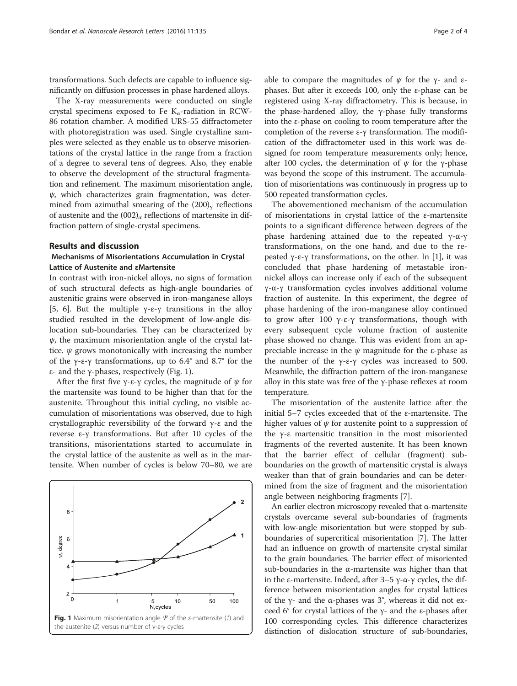transformations. Such defects are capable to influence significantly on diffusion processes in phase hardened alloys.

The X-ray measurements were conducted on single crystal specimens exposed to Fe  $K_{\alpha}$ -radiation in RCW-86 rotation chamber. A modified URS-55 diffractometer with photoregistration was used. Single crystalline samples were selected as they enable us to observe misorientations of the crystal lattice in the range from a fraction of a degree to several tens of degrees. Also, they enable to observe the development of the structural fragmentation and refinement. The maximum misorientation angle,  $\psi$ , which characterizes grain fragmentation, was determined from azimuthal smearing of the  $(200)$ <sub>v</sub> reflections of austenite and the  $(002)_{\alpha}$  reflections of martensite in diffraction pattern of single-crystal specimens.

## Results and discussion

# Mechanisms of Misorientations Accumulation in Crystal Lattice of Austenite and εMartensite

In contrast with iron-nickel alloys, no signs of formation of such structural defects as high-angle boundaries of austenitic grains were observed in iron-manganese alloys [[5, 6](#page-3-0)]. But the multiple γ-ε-γ transitions in the alloy studied resulted in the development of low-angle dislocation sub-boundaries. They can be characterized by  $\psi$ , the maximum misorientation angle of the crystal lattice.  $\psi$  grows monotonically with increasing the number of the γ-ε-γ transformations, up to 6.4° and 8.7° for the ε- and the γ-phases, respectively (Fig. 1).

After the first five γ-ε-γ cycles, the magnitude of  $\psi$  for the martensite was found to be higher than that for the austenite. Throughout this initial cycling, no visible accumulation of misorientations was observed, due to high crystallographic reversibility of the forward γ-ε and the reverse ε-γ transformations. But after 10 cycles of the transitions, misorientations started to accumulate in the crystal lattice of the austenite as well as in the martensite. When number of cycles is below 70–80, we are



able to compare the magnitudes of  $ψ$  for the γ- and εphases. But after it exceeds 100, only the ε-phase can be registered using X-ray diffractometry. This is because, in the phase-hardened alloy, the γ-phase fully transforms into the ε-phase on cooling to room temperature after the completion of the reverse ε-γ transformation. The modification of the diffractometer used in this work was designed for room temperature measurements only; hence, after 100 cycles, the determination of  $ψ$  for the γ-phase was beyond the scope of this instrument. The accumulation of misorientations was continuously in progress up to 500 repeated transformation cycles.

The abovementioned mechanism of the accumulation of misorientations in crystal lattice of the ε-martensite points to a significant difference between degrees of the phase hardening attained due to the repeated γ-α-γ transformations, on the one hand, and due to the re-peated γ-ε-γ transformations, on the other. In [\[1\]](#page-3-0), it was concluded that phase hardening of metastable ironnickel alloys can increase only if each of the subsequent γ-α-γ transformation cycles involves additional volume fraction of austenite. In this experiment, the degree of phase hardening of the iron-manganese alloy continued to grow after 100 γ-ε-γ transformations, though with every subsequent cycle volume fraction of austenite phase showed no change. This was evident from an appreciable increase in the  $\psi$  magnitude for the *ε*-phase as the number of the γ-ε-γ cycles was increased to 500. Meanwhile, the diffraction pattern of the iron-manganese alloy in this state was free of the  $\gamma$ -phase reflexes at room temperature.

The misorientation of the austenite lattice after the initial 5–7 cycles exceeded that of the ε-martensite. The higher values of  $\psi$  for austenite point to a suppression of the γ-ε martensitic transition in the most misoriented fragments of the reverted austenite. It has been known that the barrier effect of cellular (fragment) subboundaries on the growth of martensitic crystal is always weaker than that of grain boundaries and can be determined from the size of fragment and the misorientation angle between neighboring fragments [[7\]](#page-3-0).

An earlier electron microscopy revealed that α-martensite crystals overcame several sub-boundaries of fragments with low-angle misorientation but were stopped by subboundaries of supercritical misorientation [\[7](#page-3-0)]. The latter had an influence on growth of martensite crystal similar to the grain boundaries. The barrier effect of misoriented sub-boundaries in the α-martensite was higher than that in the ε-martensite. Indeed, after  $3-5$  γ-α-γ cycles, the difference between misorientation angles for crystal lattices of the γ- and the α-phases was 3°, whereas it did not exceed 6° for crystal lattices of the γ- and the ε-phases after 100 corresponding cycles. This difference characterizes distinction of dislocation structure of sub-boundaries,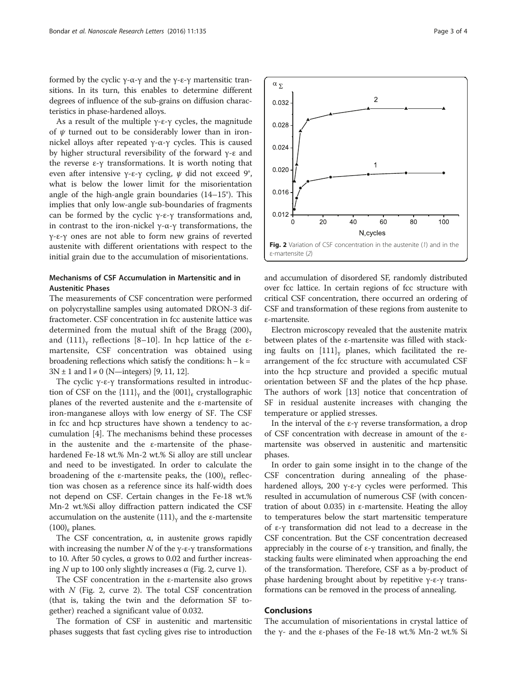formed by the cyclic γ-α-γ and the γ-ε-γ martensitic transitions. In its turn, this enables to determine different degrees of influence of the sub-grains on diffusion characteristics in phase-hardened alloys.

As a result of the multiple  $γ$ -ε-γ cycles, the magnitude of  $\psi$  turned out to be considerably lower than in ironnickel alloys after repeated  $γ$ -α-γ cycles. This is caused by higher structural reversibility of the forward γ-ε and the reverse ε-γ transformations. It is worth noting that even after intensive γ-ε-γ cycling,  $\psi$  did not exceed 9°, what is below the lower limit for the misorientation angle of the high-angle grain boundaries (14–15°). This implies that only low-angle sub-boundaries of fragments can be formed by the cyclic γ-ε-γ transformations and, in contrast to the iron-nickel γ-α-γ transformations, the γ-ε-γ ones are not able to form new grains of reverted austenite with different orientations with respect to the initial grain due to the accumulation of misorientations.

## Mechanisms of CSF Accumulation in Martensitic and in Austenitic Phases

The measurements of CSF concentration were performed on polycrystalline samples using automated DRON-3 diffractometer. CSF concentration in fcc austenite lattice was determined from the mutual shift of the Bragg  $(200)<sub>y</sub>$ and  $(111)$ <sub>γ</sub> reflections [[8](#page-3-0)–[10\]](#page-3-0). In hcp lattice of the εmartensite, CSF concentration was obtained using broadening reflections which satisfy the conditions:  $h - k =$  $3N \pm 1$  and  $l \neq 0$  (N—integers) [\[9, 11, 12\]](#page-3-0).

The cyclic γ-ε-γ transformations resulted in introduction of CSF on the  $\{111\}_{v}$  and the  $\{001\}_{v}$  crystallographic planes of the reverted austenite and the ε-martensite of iron-manganese alloys with low energy of SF. The CSF in fcc and hcp structures have shown a tendency to accumulation [[4](#page-3-0)]. The mechanisms behind these processes in the austenite and the ε-martensite of the phasehardened Fe-18 wt.% Mn-2 wt.% Si alloy are still unclear and need to be investigated. In order to calculate the broadening of the ε-martensite peaks, the  $(100)$ <sub>ε</sub> reflection was chosen as a reference since its half-width does not depend on CSF. Certain changes in the Fe-18 wt.% Mn-2 wt.%Si alloy diffraction pattern indicated the CSF accumulation on the austenite  $(111)<sub>γ</sub>$  and the *ε*-martensite  $(100)$ <sub>ε</sub> planes.

The CSF concentration,  $\alpha$ , in austenite grows rapidly with increasing the number  $N$  of the γ-ε-γ transformations to 10. After 50 cycles, α grows to 0.02 and further increasing N up to 100 only slightly increases  $\alpha$  (Fig. 2, curve 1).

The CSF concentration in the ε-martensite also grows with  $N$  (Fig. 2, curve 2). The total CSF concentration (that is, taking the twin and the deformation SF together) reached a significant value of 0.032.

The formation of CSF in austenitic and martensitic phases suggests that fast cycling gives rise to introduction



and accumulation of disordered SF, randomly distributed over fcc lattice. In certain regions of fcc structure with critical CSF concentration, there occurred an ordering of CSF and transformation of these regions from austenite to ε-martensite.

Electron microscopy revealed that the austenite matrix between plates of the ε-martensite was filled with stacking faults on  $[111]_{v}$  planes, which facilitated the rearrangement of the fcc structure with accumulated CSF into the hcp structure and provided a specific mutual orientation between SF and the plates of the hcp phase. The authors of work [[13](#page-3-0)] notice that concentration of SF in residual austenite increases with changing the temperature or applied stresses.

In the interval of the ε-γ reverse transformation, a drop of CSF concentration with decrease in amount of the εmartensite was observed in austenitic and martensitic phases.

In order to gain some insight in to the change of the CSF concentration during annealing of the phasehardened alloys, 200 γ-ε-γ cycles were performed. This resulted in accumulation of numerous CSF (with concentration of about 0.035) in ε-martensite. Heating the alloy to temperatures below the start martensitic temperature of ε-γ transformation did not lead to a decrease in the CSF concentration. But the CSF concentration decreased appreciably in the course of ε-γ transition, and finally, the stacking faults were eliminated when approaching the end of the transformation. Therefore, CSF as a by-product of phase hardening brought about by repetitive γ-ε-γ transformations can be removed in the process of annealing.

#### Conclusions

The accumulation of misorientations in crystal lattice of the γ- and the ε-phases of the Fe-18 wt.% Mn-2 wt.% Si